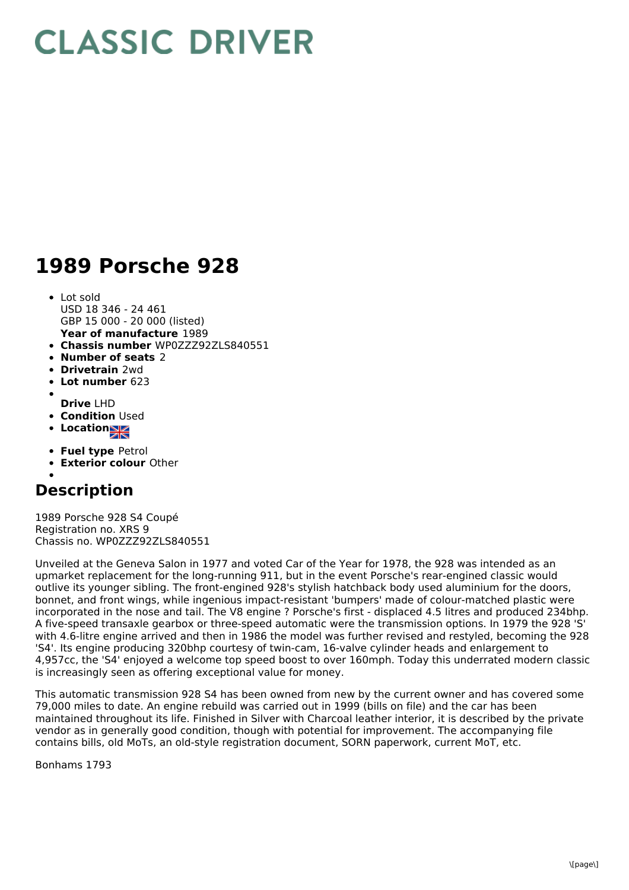## **CLASSIC DRIVER**

## **1989 Porsche 928**

- **Year of manufacture** 1989 Lot sold USD 18 346 - 24 461 GBP 15 000 - 20 000 (listed)
- **Chassis number** WP0ZZZ92ZLS840551
- **Number of seats** 2
- **Drivetrain** 2wd
- **Lot number** 623
- **Drive** LHD
- **Condition** Used
- **Location**
- **Fuel type** Petrol
- **Exterior colour** Other

## **Description**

1989 Porsche 928 S4 Coupé Registration no. XRS 9 Chassis no. WP0ZZZ92ZLS840551

Unveiled at the Geneva Salon in 1977 and voted Car of the Year for 1978, the 928 was intended as an upmarket replacement for the long-running 911, but in the event Porsche's rear-engined classic would outlive its younger sibling. The front-engined 928's stylish hatchback body used aluminium for the doors, bonnet, and front wings, while ingenious impact-resistant 'bumpers' made of colour-matched plastic were incorporated in the nose and tail. The V8 engine ? Porsche's first - displaced 4.5 litres and produced 234bhp. A five-speed transaxle gearbox or three-speed automatic were the transmission options. In 1979 the 928 'S' with 4.6-litre engine arrived and then in 1986 the model was further revised and restyled, becoming the 928 'S4'. Its engine producing 320bhp courtesy of twin-cam, 16-valve cylinder heads and enlargement to 4,957cc, the 'S4' enjoyed a welcome top speed boost to over 160mph. Today this underrated modern classic is increasingly seen as offering exceptional value for money.

This automatic transmission 928 S4 has been owned from new by the current owner and has covered some 79,000 miles to date. An engine rebuild was carried out in 1999 (bills on file) and the car has been maintained throughout its life. Finished in Silver with Charcoal leather interior, it is described by the private vendor as in generally good condition, though with potential for improvement. The accompanying file contains bills, old MoTs, an old-style registration document, SORN paperwork, current MoT, etc.

Bonhams 1793